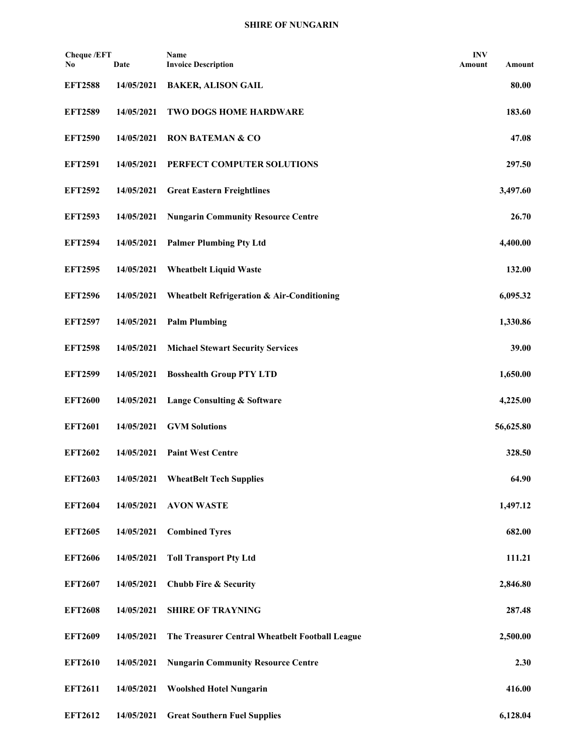## **SHIRE OF NUNGARIN**

| <b>Cheque /EFT</b><br>No | Date       | Name<br><b>Invoice Description</b>                    | <b>INV</b><br>Amount | Amount    |
|--------------------------|------------|-------------------------------------------------------|----------------------|-----------|
| <b>EFT2588</b>           | 14/05/2021 | <b>BAKER, ALISON GAIL</b>                             |                      | 80.00     |
| <b>EFT2589</b>           | 14/05/2021 | <b>TWO DOGS HOME HARDWARE</b>                         |                      | 183.60    |
| <b>EFT2590</b>           | 14/05/2021 | <b>RON BATEMAN &amp; CO</b>                           |                      | 47.08     |
| <b>EFT2591</b>           | 14/05/2021 | PERFECT COMPUTER SOLUTIONS                            |                      | 297.50    |
| <b>EFT2592</b>           | 14/05/2021 | <b>Great Eastern Freightlines</b>                     |                      | 3,497.60  |
| <b>EFT2593</b>           | 14/05/2021 | <b>Nungarin Community Resource Centre</b>             |                      | 26.70     |
| <b>EFT2594</b>           | 14/05/2021 | <b>Palmer Plumbing Pty Ltd</b>                        |                      | 4,400.00  |
| <b>EFT2595</b>           | 14/05/2021 | <b>Wheatbelt Liquid Waste</b>                         |                      | 132.00    |
| <b>EFT2596</b>           | 14/05/2021 | <b>Wheatbelt Refrigeration &amp; Air-Conditioning</b> |                      | 6,095.32  |
| <b>EFT2597</b>           | 14/05/2021 | <b>Palm Plumbing</b>                                  |                      | 1,330.86  |
| <b>EFT2598</b>           | 14/05/2021 | <b>Michael Stewart Security Services</b>              |                      | 39.00     |
| <b>EFT2599</b>           | 14/05/2021 | <b>Bosshealth Group PTY LTD</b>                       |                      | 1,650.00  |
| <b>EFT2600</b>           | 14/05/2021 | <b>Lange Consulting &amp; Software</b>                |                      | 4,225.00  |
| <b>EFT2601</b>           | 14/05/2021 | <b>GVM Solutions</b>                                  |                      | 56,625.80 |
| <b>EFT2602</b>           | 14/05/2021 | <b>Paint West Centre</b>                              |                      | 328.50    |
| <b>EFT2603</b>           | 14/05/2021 | <b>WheatBelt Tech Supplies</b>                        |                      | 64.90     |
| <b>EFT2604</b>           | 14/05/2021 | <b>AVON WASTE</b>                                     |                      | 1,497.12  |
| <b>EFT2605</b>           | 14/05/2021 | <b>Combined Tyres</b>                                 |                      | 682.00    |
| <b>EFT2606</b>           | 14/05/2021 | <b>Toll Transport Pty Ltd</b>                         |                      | 111.21    |
| <b>EFT2607</b>           | 14/05/2021 | <b>Chubb Fire &amp; Security</b>                      |                      | 2,846.80  |
| <b>EFT2608</b>           | 14/05/2021 | <b>SHIRE OF TRAYNING</b>                              |                      | 287.48    |
| <b>EFT2609</b>           | 14/05/2021 | The Treasurer Central Wheatbelt Football League       |                      | 2,500.00  |
| <b>EFT2610</b>           | 14/05/2021 | <b>Nungarin Community Resource Centre</b>             |                      | 2.30      |
| <b>EFT2611</b>           | 14/05/2021 | <b>Woolshed Hotel Nungarin</b>                        |                      | 416.00    |
| <b>EFT2612</b>           | 14/05/2021 | <b>Great Southern Fuel Supplies</b>                   |                      | 6,128.04  |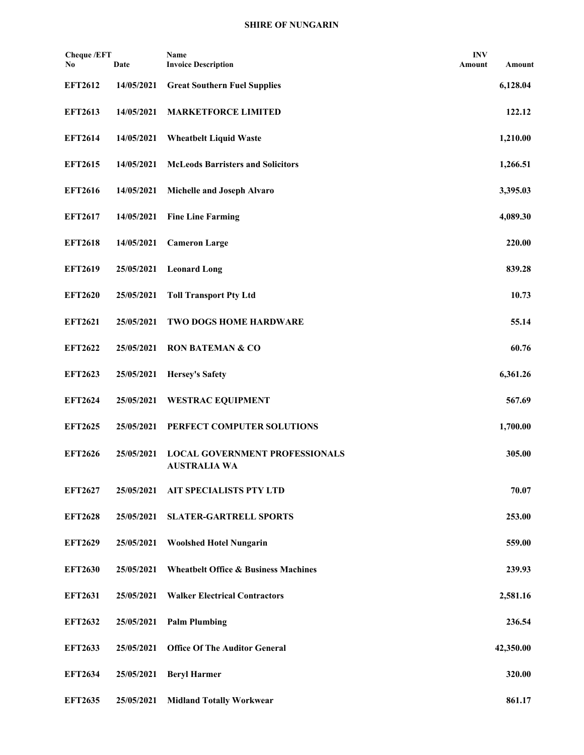## **SHIRE OF NUNGARIN**

| Cheque /EFT<br>No | Date       | Name<br><b>Invoice Description</b>                           | <b>INV</b><br>Amount | Amount    |
|-------------------|------------|--------------------------------------------------------------|----------------------|-----------|
| <b>EFT2612</b>    | 14/05/2021 | <b>Great Southern Fuel Supplies</b>                          |                      | 6,128.04  |
| <b>EFT2613</b>    | 14/05/2021 | <b>MARKETFORCE LIMITED</b>                                   |                      | 122.12    |
| <b>EFT2614</b>    | 14/05/2021 | <b>Wheatbelt Liquid Waste</b>                                |                      | 1,210.00  |
| <b>EFT2615</b>    | 14/05/2021 | <b>McLeods Barristers and Solicitors</b>                     |                      | 1,266.51  |
| <b>EFT2616</b>    | 14/05/2021 | Michelle and Joseph Alvaro                                   |                      | 3,395.03  |
| <b>EFT2617</b>    | 14/05/2021 | <b>Fine Line Farming</b>                                     |                      | 4,089.30  |
| <b>EFT2618</b>    | 14/05/2021 | <b>Cameron Large</b>                                         |                      | 220.00    |
| <b>EFT2619</b>    | 25/05/2021 | <b>Leonard Long</b>                                          |                      | 839.28    |
| <b>EFT2620</b>    | 25/05/2021 | <b>Toll Transport Pty Ltd</b>                                |                      | 10.73     |
| <b>EFT2621</b>    | 25/05/2021 | <b>TWO DOGS HOME HARDWARE</b>                                |                      | 55.14     |
| <b>EFT2622</b>    | 25/05/2021 | <b>RON BATEMAN &amp; CO</b>                                  |                      | 60.76     |
| <b>EFT2623</b>    | 25/05/2021 | <b>Hersey's Safety</b>                                       |                      | 6,361.26  |
| <b>EFT2624</b>    | 25/05/2021 | <b>WESTRAC EQUIPMENT</b>                                     |                      | 567.69    |
| <b>EFT2625</b>    | 25/05/2021 | PERFECT COMPUTER SOLUTIONS                                   |                      | 1,700.00  |
| <b>EFT2626</b>    | 25/05/2021 | <b>LOCAL GOVERNMENT PROFESSIONALS</b><br><b>AUSTRALIA WA</b> |                      | 305.00    |
| <b>EFT2627</b>    | 25/05/2021 | AIT SPECIALISTS PTY LTD                                      |                      | 70.07     |
| <b>EFT2628</b>    | 25/05/2021 | <b>SLATER-GARTRELL SPORTS</b>                                |                      | 253.00    |
| <b>EFT2629</b>    | 25/05/2021 | <b>Woolshed Hotel Nungarin</b>                               |                      | 559.00    |
| <b>EFT2630</b>    | 25/05/2021 | <b>Wheatbelt Office &amp; Business Machines</b>              |                      | 239.93    |
| <b>EFT2631</b>    | 25/05/2021 | <b>Walker Electrical Contractors</b>                         |                      | 2,581.16  |
| <b>EFT2632</b>    | 25/05/2021 | <b>Palm Plumbing</b>                                         |                      | 236.54    |
| <b>EFT2633</b>    | 25/05/2021 | <b>Office Of The Auditor General</b>                         |                      | 42,350.00 |
| <b>EFT2634</b>    | 25/05/2021 | <b>Beryl Harmer</b>                                          |                      | 320.00    |
| <b>EFT2635</b>    | 25/05/2021 | <b>Midland Totally Workwear</b>                              |                      | 861.17    |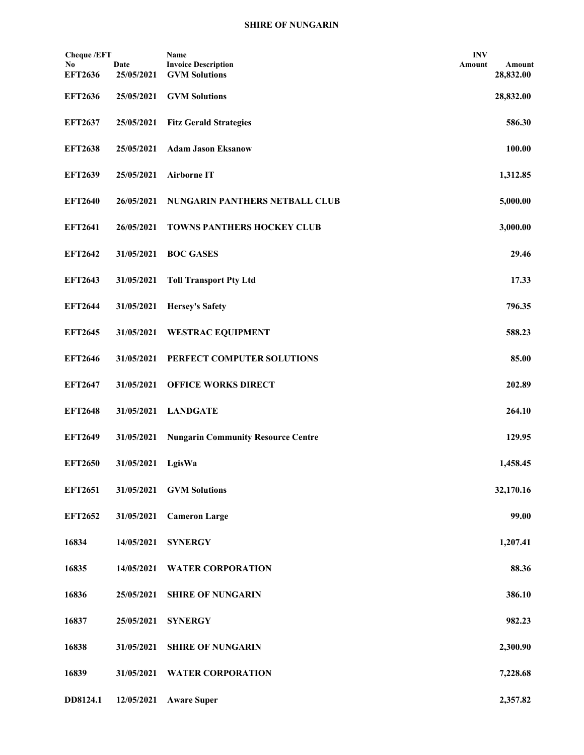| <b>Cheque /EFT</b>    |                    | Name                                               | <b>INV</b> |                     |
|-----------------------|--------------------|----------------------------------------------------|------------|---------------------|
| No.<br><b>EFT2636</b> | Date<br>25/05/2021 | <b>Invoice Description</b><br><b>GVM Solutions</b> | Amount     | Amount<br>28,832.00 |
| <b>EFT2636</b>        | 25/05/2021         | <b>GVM Solutions</b>                               |            | 28,832.00           |
| <b>EFT2637</b>        | 25/05/2021         | <b>Fitz Gerald Strategies</b>                      |            | 586.30              |
| <b>EFT2638</b>        | 25/05/2021         | <b>Adam Jason Eksanow</b>                          |            | 100.00              |
| <b>EFT2639</b>        | 25/05/2021         | <b>Airborne IT</b>                                 |            | 1,312.85            |
| <b>EFT2640</b>        | 26/05/2021         | NUNGARIN PANTHERS NETBALL CLUB                     |            | 5,000.00            |
| <b>EFT2641</b>        | 26/05/2021         | <b>TOWNS PANTHERS HOCKEY CLUB</b>                  |            | 3,000.00            |
| <b>EFT2642</b>        | 31/05/2021         | <b>BOC GASES</b>                                   |            | 29.46               |
| <b>EFT2643</b>        | 31/05/2021         | <b>Toll Transport Pty Ltd</b>                      |            | 17.33               |
| <b>EFT2644</b>        | 31/05/2021         | <b>Hersey's Safety</b>                             |            | 796.35              |
| <b>EFT2645</b>        | 31/05/2021         | <b>WESTRAC EQUIPMENT</b>                           |            | 588.23              |
| <b>EFT2646</b>        | 31/05/2021         | PERFECT COMPUTER SOLUTIONS                         |            | 85.00               |
| <b>EFT2647</b>        | 31/05/2021         | <b>OFFICE WORKS DIRECT</b>                         |            | 202.89              |
| <b>EFT2648</b>        | 31/05/2021         | <b>LANDGATE</b>                                    |            | 264.10              |
| <b>EFT2649</b>        | 31/05/2021         | <b>Nungarin Community Resource Centre</b>          |            | 129.95              |
| <b>EFT2650</b>        | 31/05/2021         | LgisWa                                             |            | 1,458.45            |
| <b>EFT2651</b>        | 31/05/2021         | <b>GVM Solutions</b>                               |            | 32,170.16           |
| <b>EFT2652</b>        | 31/05/2021         | <b>Cameron Large</b>                               |            | 99.00               |
| 16834                 | 14/05/2021         | <b>SYNERGY</b>                                     |            | 1,207.41            |
| 16835                 | 14/05/2021         | <b>WATER CORPORATION</b>                           |            | 88.36               |
| 16836                 | 25/05/2021         | <b>SHIRE OF NUNGARIN</b>                           |            | 386.10              |
| 16837                 | 25/05/2021         | <b>SYNERGY</b>                                     |            | 982.23              |
| 16838                 | 31/05/2021         | <b>SHIRE OF NUNGARIN</b>                           |            | 2,300.90            |
| 16839                 | 31/05/2021         | <b>WATER CORPORATION</b>                           |            | 7,228.68            |
| DD8124.1              | 12/05/2021         | <b>Aware Super</b>                                 |            | 2,357.82            |